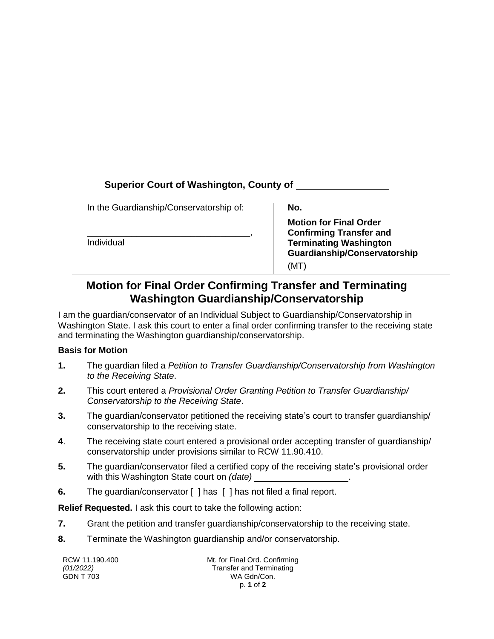## **Superior Court of Washington, County of**

In the Guardianship/Conservatorship of:

\_\_\_\_\_\_\_\_\_\_\_\_\_\_\_\_\_\_\_\_\_\_\_\_\_\_\_\_\_\_\_\_\_, Individual

**No.** 

**Motion for Final Order Confirming Transfer and Terminating Washington Guardianship/Conservatorship** (MT)

## **Motion for Final Order Confirming Transfer and Terminating Washington Guardianship/Conservatorship**

I am the guardian/conservator of an Individual Subject to Guardianship/Conservatorship in Washington State. I ask this court to enter a final order confirming transfer to the receiving state and terminating the Washington guardianship/conservatorship.

## **Basis for Motion**

- **1.** The guardian filed a *Petition to Transfer Guardianship/Conservatorship from Washington to the Receiving State*.
- **2.** This court entered a *Provisional Order Granting Petition to Transfer Guardianship/ Conservatorship to the Receiving State*.
- **3.** The guardian/conservator petitioned the receiving state's court to transfer guardianship/ conservatorship to the receiving state.
- **4**. The receiving state court entered a provisional order accepting transfer of guardianship/ conservatorship under provisions similar to RCW 11.90.410.
- **5.** The guardian/conservator filed a certified copy of the receiving state's provisional order with this Washington State court on *(date)* .
- **6.** The guardian/conservator [ ] has [ ] has not filed a final report.

**Relief Requested.** I ask this court to take the following action:

- **7.** Grant the petition and transfer guardianship/conservatorship to the receiving state.
- **8.** Terminate the Washington guardianship and/or conservatorship.